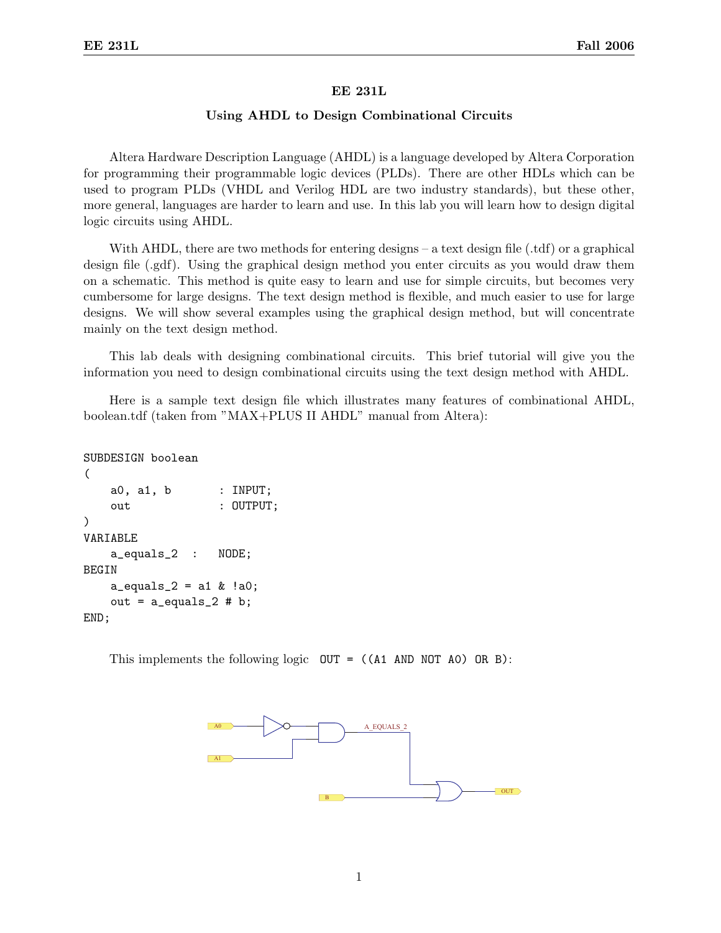## EE 231L

## Using AHDL to Design Combinational Circuits

Altera Hardware Description Language (AHDL) is a language developed by Altera Corporation for programming their programmable logic devices (PLDs). There are other HDLs which can be used to program PLDs (VHDL and Verilog HDL are two industry standards), but these other, more general, languages are harder to learn and use. In this lab you will learn how to design digital logic circuits using AHDL.

With AHDL, there are two methods for entering designs – a text design file (.tdf) or a graphical design file (.gdf). Using the graphical design method you enter circuits as you would draw them on a schematic. This method is quite easy to learn and use for simple circuits, but becomes very cumbersome for large designs. The text design method is flexible, and much easier to use for large designs. We will show several examples using the graphical design method, but will concentrate mainly on the text design method.

This lab deals with designing combinational circuits. This brief tutorial will give you the information you need to design combinational circuits using the text design method with AHDL.

Here is a sample text design file which illustrates many features of combinational AHDL, boolean.tdf (taken from "MAX+PLUS II AHDL" manual from Altera):

```
SUBDESIGN boolean
(
   a0, a1, b : INPUT;
   out : OUTPUT;
)
VARIABLE
   a_equals_2 : NODE;
BEGIN
   a_equals_2 = a1 & !a0;
   out = a_equals_2 # b;END;
```
This implements the following logic  $OUT = ((A1 AND NOT A0) OR B)$ :

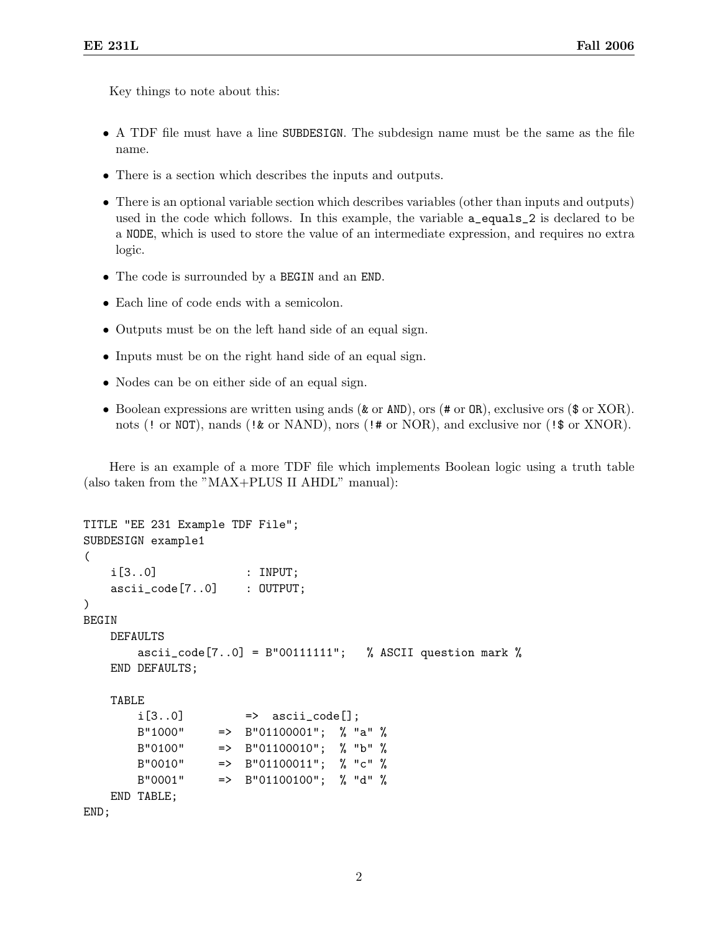Key things to note about this:

- A TDF file must have a line SUBDESIGN. The subdesign name must be the same as the file name.
- There is a section which describes the inputs and outputs.
- There is an optional variable section which describes variables (other than inputs and outputs) used in the code which follows. In this example, the variable a\_equals\_2 is declared to be a NODE, which is used to store the value of an intermediate expression, and requires no extra logic.
- The code is surrounded by a BEGIN and an END.
- Each line of code ends with a semicolon.
- Outputs must be on the left hand side of an equal sign.
- Inputs must be on the right hand side of an equal sign.
- Nodes can be on either side of an equal sign.
- Boolean expressions are written using ands (& or AND), ors (# or OR), exclusive ors (\$ or XOR). nots (! or NOT), nands (!  $\&$  or NAND), nors (!  $\#$  or NOR), and exclusive nor (!  $\$$  or XNOR).

Here is an example of a more TDF file which implements Boolean logic using a truth table (also taken from the "MAX+PLUS II AHDL" manual):

```
TITLE "EE 231 Example TDF File";
SUBDESIGN example1
(
   i[3..0] : INPUT;
   ascii_code[7..0] : OUTPUT;
)
BEGIN
   DEFAULTS
       ascii_code[7..0] = B"00111111"; % ASCII question mark %
   END DEFAULTS;
   TABLE
       i[3..0] \Rightarrow ascii_code[];
       B"1000" => B"01100001"; % "a" %
       B"0100" => B"01100010"; % "b" %
       B''0010'' => B''01100011''; % "c" %
       B''0001'' => B''01100100''; % "d" %
   END TABLE;
END;
```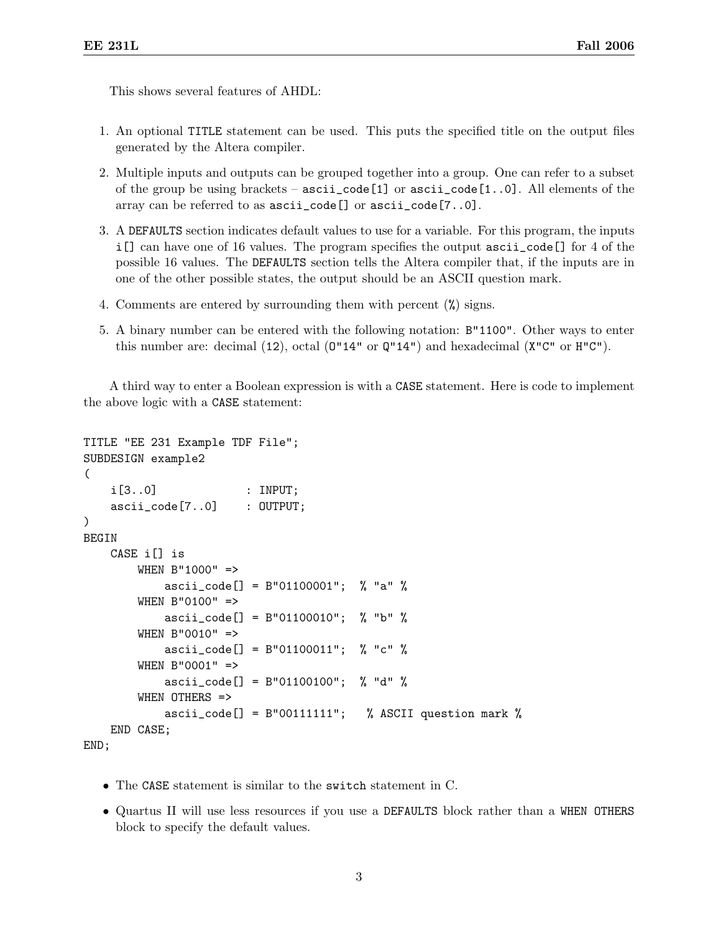This shows several features of AHDL:

- 1. An optional TITLE statement can be used. This puts the specified title on the output files generated by the Altera compiler.
- 2. Multiple inputs and outputs can be grouped together into a group. One can refer to a subset of the group be using brackets –  $\text{asci\_code}[1]$  or  $\text{asci\_code}[1..0]$ . All elements of the array can be referred to as ascii\_code[] or ascii\_code[7..0].
- 3. A DEFAULTS section indicates default values to use for a variable. For this program, the inputs i[] can have one of 16 values. The program specifies the output ascii\_code[] for 4 of the possible 16 values. The DEFAULTS section tells the Altera compiler that, if the inputs are in one of the other possible states, the output should be an ASCII question mark.
- 4. Comments are entered by surrounding them with percent (%) signs.
- 5. A binary number can be entered with the following notation: B"1100". Other ways to enter this number are: decimal  $(12)$ , octal  $(0"14"$  or  $Q"14")$  and hexadecimal  $(X"C"$  or  $H"C"$ ).

A third way to enter a Boolean expression is with a CASE statement. Here is code to implement the above logic with a CASE statement:

```
TITLE "EE 231 Example TDF File";
SUBDESIGN example2
(
    i[3..0] : INPUT;
    ascii_code[7..0] : OUTPUT;
\lambdaBEGIN
    CASE i[] is
        WHEN B"1000" =>
            ascii_code[] = B"01100001"; % "a" %
        WHEN B"0100" =>
            ascii_code[] = B"01100010"; % "b" %
        WHEN B"0010" =>
            ascii_code[] = B"01100011"; % "c" %
        WHEN B"0001" =>
            ascii_code[] = B"01100100"; % "d" %
        WHEN OTHERS =>
            ascii_code[] = B''00111111"; % ASCII question mark %
    END CASE;
END;
```
- The CASE statement is similar to the switch statement in C.
- Quartus II will use less resources if you use a DEFAULTS block rather than a WHEN OTHERS block to specify the default values.